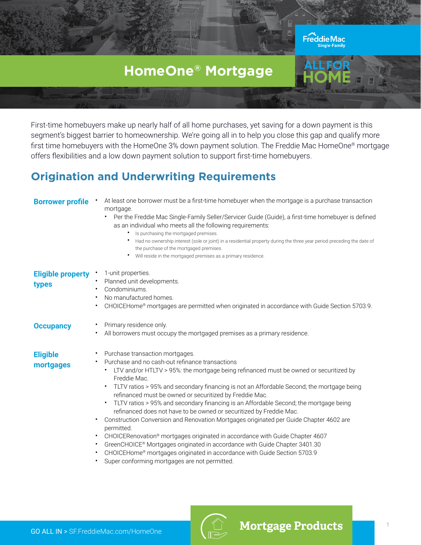# **HomeOne® Mortgage**

Freddie Mac

First-time homebuyers make up nearly half of all home purchases, yet saving for a down payment is this segment's biggest barrier to homeownership. We're going all in to help you close this gap and qualify more first time homebuyers with the HomeOne 3% down payment solution. The Freddie Mac HomeOne® mortgage offers flexibilities and a low down payment solution to support first-time homebuyers.

#### **Origination and Underwriting Requirements**

| <b>Borrower profile</b>           | At least one borrower must be a first-time homebuyer when the mortgage is a purchase transaction<br>mortgage.<br>Per the Freddie Mac Single-Family Seller/Servicer Guide (Guide), a first-time homebuyer is defined<br>٠<br>as an individual who meets all the following requirements:<br>Is purchasing the mortgaged premises.<br>Had no ownership interest (sole or joint) in a residential property during the three year period preceding the date of<br>the purchase of the mortgaged premises.<br>Will reside in the mortgaged premises as a primary residence.                                                                                                                                                                                                                                                                                                                                                                                                                |
|-----------------------------------|--------------------------------------------------------------------------------------------------------------------------------------------------------------------------------------------------------------------------------------------------------------------------------------------------------------------------------------------------------------------------------------------------------------------------------------------------------------------------------------------------------------------------------------------------------------------------------------------------------------------------------------------------------------------------------------------------------------------------------------------------------------------------------------------------------------------------------------------------------------------------------------------------------------------------------------------------------------------------------------|
| <b>Eligible property</b><br>types | 1-unit properties.<br>Planned unit developments.<br>Condominiums.<br>No manufactured homes.<br>$\bullet$<br>CHOICEHome® mortgages are permitted when originated in accordance with Guide Section 5703.9.                                                                                                                                                                                                                                                                                                                                                                                                                                                                                                                                                                                                                                                                                                                                                                             |
| <b>Occupancy</b>                  | Primary residence only.<br>All borrowers must occupy the mortgaged premises as a primary residence.                                                                                                                                                                                                                                                                                                                                                                                                                                                                                                                                                                                                                                                                                                                                                                                                                                                                                  |
| <b>Eligible</b><br>mortgages      | Purchase transaction mortgages.<br>Purchase and no cash-out refinance transactions<br>$\bullet$<br>LTV and/or HTLTV > 95%: the mortgage being refinanced must be owned or securitized by<br>Freddie Mac.<br>TLTV ratios > 95% and secondary financing is not an Affordable Second; the mortgage being<br>$\bullet$<br>refinanced must be owned or securitized by Freddie Mac.<br>TLTV ratios > 95% and secondary financing is an Affordable Second; the mortgage being<br>٠<br>refinanced does not have to be owned or securitized by Freddie Mac.<br>Construction Conversion and Renovation Mortgages originated per Guide Chapter 4602 are<br>٠<br>permitted.<br>CHOICERenovation® mortgages originated in accordance with Guide Chapter 4607<br>$\bullet$<br>GreenCHOICE® Mortgages originated in accordance with Guide Chapter 3401.30<br>$\bullet$<br>CHOICEHome® mortgages originated in accordance with Guide Section 5703.9<br>Super conforming mortgages are not permitted. |

GO ALL IN > [SF.FreddieMac.com/HomeOne](http://sf.FreddieMac.com/HomeOne)



**Mortgage Products**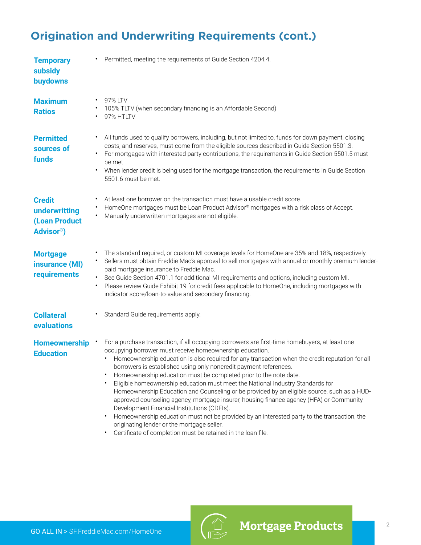# **Origination and Underwriting Requirements (cont.)**

| <b>Temporary</b><br>subsidy<br>buydowns                                   | Permitted, meeting the requirements of Guide Section 4204.4.                                                                                                                                                                                                                                                                                                                                                                                                                                                                                                                                                                                                                                                                                                                                                                                                                                                                                    |
|---------------------------------------------------------------------------|-------------------------------------------------------------------------------------------------------------------------------------------------------------------------------------------------------------------------------------------------------------------------------------------------------------------------------------------------------------------------------------------------------------------------------------------------------------------------------------------------------------------------------------------------------------------------------------------------------------------------------------------------------------------------------------------------------------------------------------------------------------------------------------------------------------------------------------------------------------------------------------------------------------------------------------------------|
| <b>Maximum</b><br><b>Ratios</b>                                           | 97% LTV<br>105% TLTV (when secondary financing is an Affordable Second)<br>97% HTLTV                                                                                                                                                                                                                                                                                                                                                                                                                                                                                                                                                                                                                                                                                                                                                                                                                                                            |
| <b>Permitted</b><br>sources of<br>funds                                   | All funds used to qualify borrowers, including, but not limited to, funds for down payment, closing<br>$\bullet$<br>costs, and reserves, must come from the eligible sources described in Guide Section 5501.3.<br>For mortgages with interested party contributions, the requirements in Guide Section 5501.5 must<br>be met.<br>When lender credit is being used for the mortgage transaction, the requirements in Guide Section<br>5501.6 must be met.                                                                                                                                                                                                                                                                                                                                                                                                                                                                                       |
| <b>Credit</b><br>underwritting<br>(Loan Product<br>Advisor <sup>®</sup> ) | At least one borrower on the transaction must have a usable credit score.<br>HomeOne mortgages must be Loan Product Advisor® mortgages with a risk class of Accept.<br>Manually underwritten mortgages are not eligible.                                                                                                                                                                                                                                                                                                                                                                                                                                                                                                                                                                                                                                                                                                                        |
| <b>Mortgage</b><br>insurance (MI)<br>requirements                         | The standard required, or custom MI coverage levels for HomeOne are 35% and 18%, respectively.<br>Sellers must obtain Freddie Mac's approval to sell mortgages with annual or monthly premium lender-<br>paid mortgage insurance to Freddie Mac.<br>See Guide Section 4701.1 for additional MI requirements and options, including custom MI.<br>Please review Guide Exhibit 19 for credit fees applicable to HomeOne, including mortgages with<br>indicator score/loan-to-value and secondary financing.                                                                                                                                                                                                                                                                                                                                                                                                                                       |
| <b>Collateral</b><br>evaluations                                          | Standard Guide requirements apply.                                                                                                                                                                                                                                                                                                                                                                                                                                                                                                                                                                                                                                                                                                                                                                                                                                                                                                              |
| <b>Homeownership</b><br><b>Education</b>                                  | For a purchase transaction, if all occupying borrowers are first-time homebuyers, at least one<br>occupying borrower must receive homeownership education.<br>Homeownership education is also required for any transaction when the credit reputation for all<br>borrowers is established using only noncredit payment references.<br>Homeownership education must be completed prior to the note date.<br>Eligible homeownership education must meet the National Industry Standards for<br>Homeownership Education and Counseling or be provided by an eligible source, such as a HUD-<br>approved counseling agency, mortgage insurer, housing finance agency (HFA) or Community<br>Development Financial Institutions (CDFIs).<br>Homeownership education must not be provided by an interested party to the transaction, the<br>originating lender or the mortgage seller.<br>Certificate of completion must be retained in the loan file. |